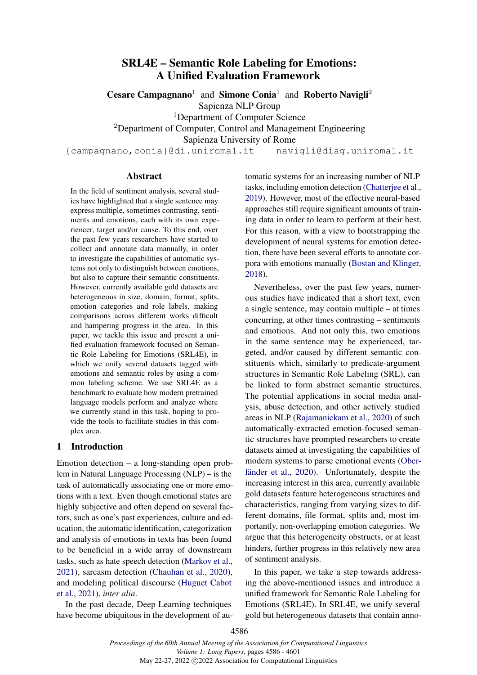# SRL4E – Semantic Role Labeling for Emotions: A Unified Evaluation Framework

Cesare Campagnano<sup>1</sup> and Simone Conia<sup>1</sup> and Roberto Navigli<sup>2</sup> Sapienza NLP Group <sup>1</sup>Department of Computer Science <sup>2</sup>Department of Computer, Control and Management Engineering Sapienza University of Rome

{campagnano,conia}@di.uniroma1.it navigli@diag.uniroma1.it

### Abstract

In the field of sentiment analysis, several studies have highlighted that a single sentence may express multiple, sometimes contrasting, sentiments and emotions, each with its own experiencer, target and/or cause. To this end, over the past few years researchers have started to collect and annotate data manually, in order to investigate the capabilities of automatic systems not only to distinguish between emotions, but also to capture their semantic constituents. However, currently available gold datasets are heterogeneous in size, domain, format, splits, emotion categories and role labels, making comparisons across different works difficult and hampering progress in the area. In this paper, we tackle this issue and present a unified evaluation framework focused on Semantic Role Labeling for Emotions (SRL4E), in which we unify several datasets tagged with emotions and semantic roles by using a common labeling scheme. We use SRL4E as a benchmark to evaluate how modern pretrained language models perform and analyze where we currently stand in this task, hoping to provide the tools to facilitate studies in this complex area.

# 1 Introduction

Emotion detection – a long-standing open problem in Natural Language Processing (NLP) – is the task of automatically associating one or more emotions with a text. Even though emotional states are highly subjective and often depend on several factors, such as one's past experiences, culture and education, the automatic identification, categorization and analysis of emotions in texts has been found to be beneficial in a wide array of downstream tasks, such as hate speech detection [\(Markov et al.,](#page-10-0) [2021\)](#page-10-0), sarcasm detection [\(Chauhan et al.,](#page-9-0) [2020\)](#page-9-0), and modeling political discourse [\(Huguet Cabot](#page-10-1) [et al.,](#page-10-1) [2021\)](#page-10-1), *inter alia*.

In the past decade, Deep Learning techniques have become ubiquitous in the development of automatic systems for an increasing number of NLP tasks, including emotion detection [\(Chatterjee et al.,](#page-9-1) [2019\)](#page-9-1). However, most of the effective neural-based approaches still require significant amounts of training data in order to learn to perform at their best. For this reason, with a view to bootstrapping the development of neural systems for emotion detection, there have been several efforts to annotate corpora with emotions manually [\(Bostan and Klinger,](#page-9-2) [2018\)](#page-9-2).

Nevertheless, over the past few years, numerous studies have indicated that a short text, even a single sentence, may contain multiple – at times concurring, at other times contrasting – sentiments and emotions. And not only this, two emotions in the same sentence may be experienced, targeted, and/or caused by different semantic constituents which, similarly to predicate-argument structures in Semantic Role Labeling (SRL), can be linked to form abstract semantic structures. The potential applications in social media analysis, abuse detection, and other actively studied areas in NLP [\(Rajamanickam et al.,](#page-11-0) [2020\)](#page-11-0) of such automatically-extracted emotion-focused semantic structures have prompted researchers to create datasets aimed at investigating the capabilities of modern systems to parse emotional events [\(Ober](#page-11-1)[länder et al.,](#page-11-1) [2020\)](#page-11-1). Unfortunately, despite the increasing interest in this area, currently available gold datasets feature heterogeneous structures and characteristics, ranging from varying sizes to different domains, file format, splits and, most importantly, non-overlapping emotion categories. We argue that this heterogeneity obstructs, or at least hinders, further progress in this relatively new area of sentiment analysis.

In this paper, we take a step towards addressing the above-mentioned issues and introduce a unified framework for Semantic Role Labeling for Emotions (SRL4E). In SRL4E, we unify several gold but heterogeneous datasets that contain anno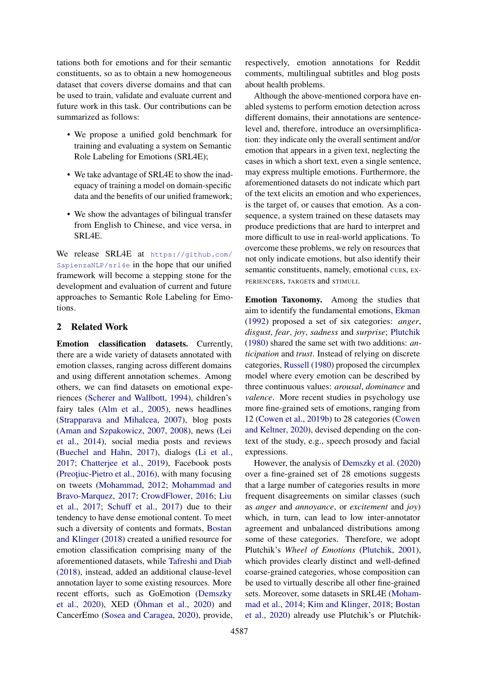tations both for emotions and for their semantic constituents, so as to obtain a new homogeneous dataset that covers diverse domains and that can be used to train, validate and evaluate current and future work in this task. Our contributions can be summarized as follows:

- We propose a unified gold benchmark for training and evaluating a system on Semantic Role Labeling for Emotions (SRL4E);
- We take advantage of SRL4E to show the inadequacy of training a model on domain-specific data and the benefits of our unified framework;
- We show the advantages of bilingual transfer from English to Chinese, and vice versa, in SRL4E.

We release SRL4E at [https://github.com/](https://github.com/SapienzaNLP/srl4e) [SapienzaNLP/srl4e](https://github.com/SapienzaNLP/srl4e) in the hope that our unified framework will become a stepping stone for the development and evaluation of current and future approaches to Semantic Role Labeling for Emotions.

### <span id="page-1-0"></span>2 Related Work

Emotion classification datasets. Currently, there are a wide variety of datasets annotated with emotion classes, ranging across different domains and using different annotation schemes. Among others, we can find datasets on emotional experiences [\(Scherer and Wallbott,](#page-11-2) [1994\)](#page-11-2), children's fairy tales [\(Alm et al.,](#page-9-3) [2005\)](#page-9-3), news headlines [\(Strapparava and Mihalcea,](#page-11-3) [2007\)](#page-11-3), blog posts [\(Aman and Szpakowicz,](#page-9-4) [2007,](#page-9-4) [2008\)](#page-9-5), news [\(Lei](#page-10-2) [et al.,](#page-10-2) [2014\)](#page-10-2), social media posts and reviews [\(Buechel and Hahn,](#page-9-6) [2017\)](#page-9-6), dialogs [\(Li et al.,](#page-10-3) [2017;](#page-10-3) [Chatterjee et al.,](#page-9-1) [2019\)](#page-9-1), Facebook posts (Preoțiuc-Pietro et al., [2016\)](#page-11-4), with many focusing on tweets [\(Mohammad,](#page-10-4) [2012;](#page-10-4) [Mohammad and](#page-11-5) [Bravo-Marquez,](#page-11-5) [2017;](#page-11-5) [CrowdFlower,](#page-10-5) [2016;](#page-10-5) [Liu](#page-10-6) [et al.,](#page-10-6) [2017;](#page-10-6) [Schuff et al.,](#page-11-6) [2017\)](#page-11-6) due to their tendency to have dense emotional content. To meet such a diversity of contents and formats, [Bostan](#page-9-2) [and Klinger](#page-9-2) [\(2018\)](#page-9-2) created a unified resource for emotion classification comprising many of the aforementioned datasets, while [Tafreshi and Diab](#page-11-7) [\(2018\)](#page-11-7), instead, added an additional clause-level annotation layer to some existing resources. More recent efforts, such as GoEmotion [\(Demszky](#page-10-7) [et al.,](#page-10-7) [2020\)](#page-10-7), XED [\(Öhman et al.,](#page-11-8) [2020\)](#page-11-8) and CancerEmo [\(Sosea and Caragea,](#page-11-9) [2020\)](#page-11-9), provide, respectively, emotion annotations for Reddit comments, multilingual subtitles and blog posts about health problems.

Although the above-mentioned corpora have enabled systems to perform emotion detection across different domains, their annotations are sentencelevel and, therefore, introduce an oversimplification: they indicate only the overall sentiment and/or emotion that appears in a given text, neglecting the cases in which a short text, even a single sentence, may express multiple emotions. Furthermore, the aforementioned datasets do not indicate which part of the text elicits an emotion and who experiences, is the target of, or causes that emotion. As a consequence, a system trained on these datasets may produce predictions that are hard to interpret and more difficult to use in real-world applications. To overcome these problems, we rely on resources that not only indicate emotions, but also identify their semantic constituents, namely, emotional cues, EX-PERIENCERS, TARGETS and STIMULI.

Emotion Taxonomy. Among the studies that aim to identify the fundamental emotions, [Ekman](#page-10-8) [\(1992\)](#page-10-8) proposed a set of six categories: *anger*, *disgust*, *fear*, *joy*, *sadness* and *surprise*; [Plutchik](#page-11-10) [\(1980\)](#page-11-10) shared the same set with two additions: *anticipation* and *trust*. Instead of relying on discrete categories, [Russell](#page-11-11) [\(1980\)](#page-11-11) proposed the circumplex model where every emotion can be described by three continuous values: *arousal*, *dominance* and *valence*. More recent studies in psychology use more fine-grained sets of emotions, ranging from 12 [\(Cowen et al.,](#page-10-9) [2019b\)](#page-10-9) to 28 categories [\(Cowen](#page-10-10) [and Keltner,](#page-10-10) [2020\)](#page-10-10), devised depending on the context of the study, e.g., speech prosody and facial expressions.

However, the analysis of [Demszky et al.](#page-10-7) [\(2020\)](#page-10-7) over a fine-grained set of 28 emotions suggests that a large number of categories results in more frequent disagreements on similar classes (such as *anger* and *annoyance*, or *excitement* and *joy*) which, in turn, can lead to low inter-annotator agreement and unbalanced distributions among some of these categories. Therefore, we adopt Plutchik's *Wheel of Emotions* [\(Plutchik,](#page-11-12) [2001\)](#page-11-12), which provides clearly distinct and well-defined coarse-grained categories, whose composition can be used to virtually describe all other fine-grained sets. Moreover, some datasets in SRL4E [\(Moham](#page-11-13)[mad et al.,](#page-11-13) [2014;](#page-11-13) [Kim and Klinger,](#page-10-11) [2018;](#page-10-11) [Bostan](#page-9-7) [et al.,](#page-9-7) [2020\)](#page-9-7) already use Plutchik's or Plutchik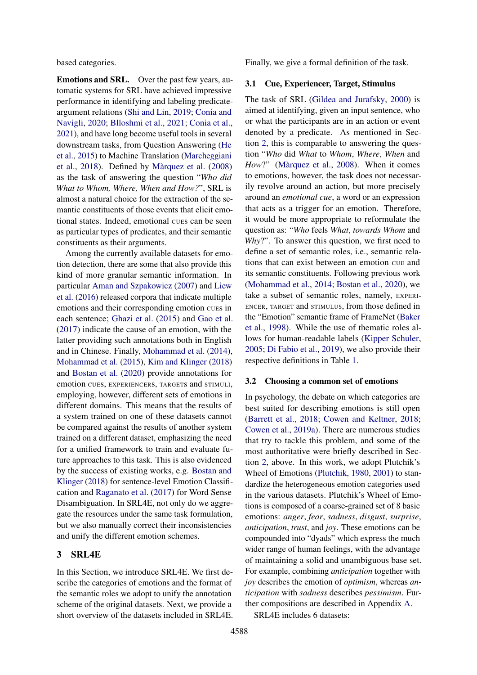based categories.

Emotions and SRL. Over the past few years, automatic systems for SRL have achieved impressive performance in identifying and labeling predicateargument relations [\(Shi and Lin,](#page-11-14) [2019;](#page-11-14) [Conia and](#page-9-8) [Navigli,](#page-9-8) [2020;](#page-9-8) [Blloshmi et al.,](#page-9-9) [2021;](#page-9-9) [Conia et al.,](#page-9-10) [2021\)](#page-9-10), and have long become useful tools in several downstream tasks, from Question Answering [\(He](#page-10-12) [et al.,](#page-10-12) [2015\)](#page-10-12) to Machine Translation [\(Marcheggiani](#page-10-13) [et al.,](#page-10-13) [2018\)](#page-10-13). Defined by [Màrquez et al.](#page-11-15) [\(2008\)](#page-11-15) as the task of answering the question "*Who did What to Whom, Where, When and How?*", SRL is almost a natural choice for the extraction of the semantic constituents of those events that elicit emotional states. Indeed, emotional CUEs can be seen as particular types of predicates, and their semantic constituents as their arguments.

Among the currently available datasets for emotion detection, there are some that also provide this kind of more granular semantic information. In particular [Aman and Szpakowicz](#page-9-4) [\(2007\)](#page-9-4) and [Liew](#page-10-14) [et al.](#page-10-14) [\(2016\)](#page-10-14) released corpora that indicate multiple emotions and their corresponding emotion CUEs in each sentence; [Ghazi et al.](#page-10-15) [\(2015\)](#page-10-15) and [Gao et al.](#page-10-16) [\(2017\)](#page-10-16) indicate the cause of an emotion, with the latter providing such annotations both in English and in Chinese. Finally, [Mohammad et al.](#page-11-13) [\(2014\)](#page-11-13), [Mohammad et al.](#page-11-16) [\(2015\)](#page-11-16), [Kim and Klinger](#page-10-11) [\(2018\)](#page-10-11) and [Bostan et al.](#page-9-7) [\(2020\)](#page-9-7) provide annotations for emotion CUEs, EXPERIENCERs, TARGETs and STIMULI, employing, however, different sets of emotions in different domains. This means that the results of a system trained on one of these datasets cannot be compared against the results of another system trained on a different dataset, emphasizing the need for a unified framework to train and evaluate future approaches to this task. This is also evidenced by the success of existing works, e.g. [Bostan and](#page-9-2) [Klinger](#page-9-2) [\(2018\)](#page-9-2) for sentence-level Emotion Classification and [Raganato et al.](#page-11-17) [\(2017\)](#page-11-17) for Word Sense Disambiguation. In SRL4E, not only do we aggregate the resources under the same task formulation, but we also manually correct their inconsistencies and unify the different emotion schemes.

# 3 SRL4E

In this Section, we introduce SRL4E. We first describe the categories of emotions and the format of the semantic roles we adopt to unify the annotation scheme of the original datasets. Next, we provide a short overview of the datasets included in SRL4E. Finally, we give a formal definition of the task.

#### 3.1 Cue, Experiencer, Target, Stimulus

The task of SRL [\(Gildea and Jurafsky,](#page-10-17) [2000\)](#page-10-17) is aimed at identifying, given an input sentence, who or what the participants are in an action or event denoted by a predicate. As mentioned in Section [2,](#page-1-0) this is comparable to answering the question "*Who* did *What* to *Whom*, *Where*, *When* and *How*?" [\(Màrquez et al.,](#page-11-15) [2008\)](#page-11-15). When it comes to emotions, however, the task does not necessarily revolve around an action, but more precisely around an *emotional cue*, a word or an expression that acts as a trigger for an emotion. Therefore, it would be more appropriate to reformulate the question as: "*Who* feels *What*, *towards Whom* and *Why*?". To answer this question, we first need to define a set of semantic roles, i.e., semantic relations that can exist between an emotion CUE and its semantic constituents. Following previous work [\(Mohammad et al.,](#page-11-13) [2014;](#page-11-13) [Bostan et al.,](#page-9-7) [2020\)](#page-9-7), we take a subset of semantic roles, namely, EXPERI-ENCER, TARGET and STIMULUS, from those defined in the "Emotion" semantic frame of FrameNet [\(Baker](#page-9-11) [et al.,](#page-9-11) [1998\)](#page-9-11). While the use of thematic roles allows for human-readable labels [\(Kipper Schuler,](#page-10-18) [2005;](#page-10-18) [Di Fabio et al.,](#page-10-19) [2019\)](#page-10-19), we also provide their respective definitions in Table [1.](#page-3-0)

#### 3.2 Choosing a common set of emotions

In psychology, the debate on which categories are best suited for describing emotions is still open [\(Barrett et al.,](#page-9-12) [2018;](#page-9-12) [Cowen and Keltner,](#page-9-13) [2018;](#page-9-13) [Cowen et al.,](#page-9-14) [2019a\)](#page-9-14). There are numerous studies that try to tackle this problem, and some of the most authoritative were briefly described in Section [2,](#page-1-0) above. In this work, we adopt Plutchik's Wheel of Emotions [\(Plutchik,](#page-11-10) [1980,](#page-11-10) [2001\)](#page-11-12) to standardize the heterogeneous emotion categories used in the various datasets. Plutchik's Wheel of Emotions is composed of a coarse-grained set of 8 basic emotions: *anger*, *fear*, *sadness*, *disgust*, *surprise*, *anticipation*, *trust*, and *joy*. These emotions can be compounded into "dyads" which express the much wider range of human feelings, with the advantage of maintaining a solid and unambiguous base set. For example, combining *anticipation* together with *joy* describes the emotion of *optimism*, whereas *anticipation* with *sadness* describes *pessimism*. Further compositions are described in Appendix [A.](#page-12-0)

SRL4E includes 6 datasets: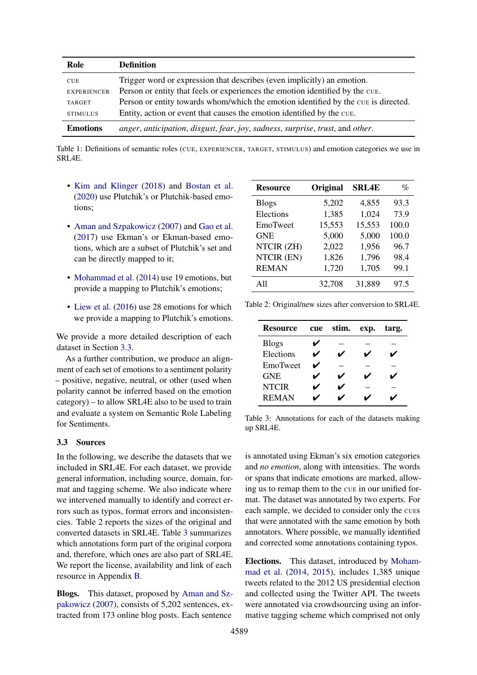<span id="page-3-0"></span>

| Role               | <b>Definition</b>                                                                  |
|--------------------|------------------------------------------------------------------------------------|
| <b>CUE</b>         | Trigger word or expression that describes (even implicitly) an emotion.            |
| <b>EXPERIENCER</b> | Person or entity that feels or experiences the emotion identified by the CUE.      |
| TARGET             | Person or entity towards whom/which the emotion identified by the cue is directed. |
| <b>STIMULUS</b>    | Entity, action or event that causes the emotion identified by the CUE.             |
| <b>Emotions</b>    | anger, anticipation, disgust, fear, joy, sadness, surprise, trust, and other.      |

Table 1: Definitions of semantic roles (CUE, EXPERIENCER, TARGET, STIMULUS) and emotion categories we use in SRL4E.

- [Kim and Klinger](#page-10-11) [\(2018\)](#page-10-11) and [Bostan et al.](#page-9-7) [\(2020\)](#page-9-7) use Plutchik's or Plutchik-based emotions;
- [Aman and Szpakowicz](#page-9-4) [\(2007\)](#page-9-4) and [Gao et al.](#page-10-16) [\(2017\)](#page-10-16) use Ekman's or Ekman-based emotions, which are a subset of Plutchik's set and can be directly mapped to it;
- [Mohammad et al.](#page-11-13) [\(2014\)](#page-11-13) use 19 emotions, but provide a mapping to Plutchik's emotions;
- [Liew et al.](#page-10-14) [\(2016\)](#page-10-14) use 28 emotions for which we provide a mapping to Plutchik's emotions.

We provide a more detailed description of each dataset in Section [3.3.](#page-3-1)

As a further contribution, we produce an alignment of each set of emotions to a sentiment polarity – positive, negative, neutral, or other (used when polarity cannot be inferred based on the emotion category) – to allow SRL4E also to be used to train and evaluate a system on Semantic Role Labeling for Sentiments.

#### <span id="page-3-1"></span>3.3 Sources

In the following, we describe the datasets that we included in SRL4E. For each dataset, we provide general information, including source, domain, format and tagging scheme. We also indicate where we intervened manually to identify and correct errors such as typos, format errors and inconsistencies. Table [2](#page-3-2) reports the sizes of the original and converted datasets in SRL4E. Table [3](#page-3-3) summarizes which annotations form part of the original corpora and, therefore, which ones are also part of SRL4E. We report the license, availability and link of each resource in Appendix [B.](#page-12-1)

Blogs. This dataset, proposed by [Aman and Sz](#page-9-4)[pakowicz](#page-9-4) [\(2007\)](#page-9-4), consists of 5,202 sentences, extracted from 173 online blog posts. Each sentence

<span id="page-3-2"></span>

| <b>Resource</b> | Original | <b>SRL4E</b> | %     |
|-----------------|----------|--------------|-------|
| <b>Blogs</b>    | 5,202    | 4,855        | 93.3  |
| Elections       | 1,385    | 1,024        | 73.9  |
| EmoTweet        | 15,553   | 15,553       | 100.0 |
| <b>GNE</b>      | 5,000    | 5,000        | 100.0 |
| NTCIR (ZH)      | 2,022    | 1,956        | 96.7  |
| NTCIR (EN)      | 1,826    | 1,796        | 98.4  |
| <b>REMAN</b>    | 1,720    | 1,705        | 99.1  |
| A11             | 32,708   | 31,889       | 97.5  |

<span id="page-3-3"></span>Table 2: Original/new sizes after conversion to SRL4E.

| <b>Resource</b> | cue | stim. | exp. | targ. |
|-----------------|-----|-------|------|-------|
| <b>Blogs</b>    |     |       |      |       |
| Elections       | ✔   | ✔     | ✔    |       |
| EmoTweet        | ✓   |       |      |       |
| <b>GNE</b>      | V   | ✔     | V    |       |
| <b>NTCIR</b>    | ✔   |       |      |       |
| <b>REMAN</b>    |     |       |      |       |

Table 3: Annotations for each of the datasets making up SRL4E.

is annotated using Ekman's six emotion categories and *no emotion*, along with intensities. The words or spans that indicate emotions are marked, allowing us to remap them to the CUE in our unified format. The dataset was annotated by two experts. For each sample, we decided to consider only the CUEs that were annotated with the same emotion by both annotators. Where possible, we manually identified and corrected some annotations containing typos.

Elections. This dataset, introduced by [Moham](#page-11-13)[mad et al.](#page-11-13) [\(2014,](#page-11-13) [2015\)](#page-11-16), includes 1,385 unique tweets related to the 2012 US presidential election and collected using the Twitter API. The tweets were annotated via crowdsourcing using an informative tagging scheme which comprised not only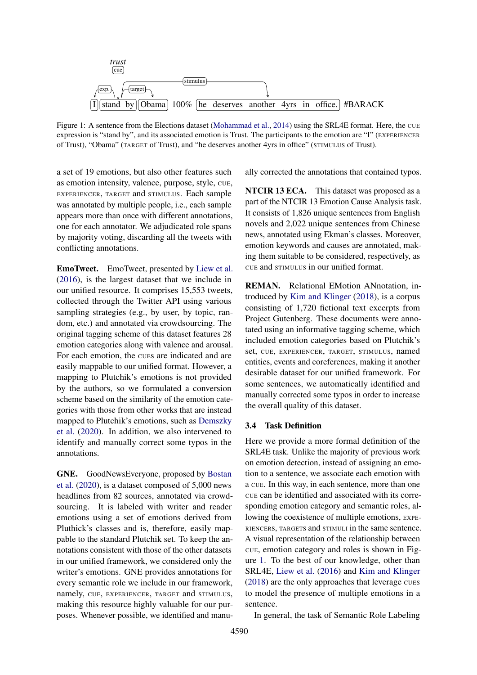<span id="page-4-0"></span>

Figure 1: A sentence from the Elections dataset [\(Mohammad et al.,](#page-11-13) [2014\)](#page-11-13) using the SRL4E format. Here, the CUE expression is "stand by", and its associated emotion is Trust. The participants to the emotion are "I" (EXPERIENCER of Trust), "Obama" (TARGET of Trust), and "he deserves another 4yrs in office" (STIMULUS of Trust).

a set of 19 emotions, but also other features such as emotion intensity, valence, purpose, style, CUE, EXPERIENCER, TARGET and STIMULUS. Each sample was annotated by multiple people, i.e., each sample appears more than once with different annotations, one for each annotator. We adjudicated role spans by majority voting, discarding all the tweets with conflicting annotations.

EmoTweet. EmoTweet, presented by [Liew et al.](#page-10-14) [\(2016\)](#page-10-14), is the largest dataset that we include in our unified resource. It comprises 15,553 tweets, collected through the Twitter API using various sampling strategies (e.g., by user, by topic, random, etc.) and annotated via crowdsourcing. The original tagging scheme of this dataset features 28 emotion categories along with valence and arousal. For each emotion, the CUEs are indicated and are easily mappable to our unified format. However, a mapping to Plutchik's emotions is not provided by the authors, so we formulated a conversion scheme based on the similarity of the emotion categories with those from other works that are instead mapped to Plutchik's emotions, such as [Demszky](#page-10-7) [et al.](#page-10-7) [\(2020\)](#page-10-7). In addition, we also intervened to identify and manually correct some typos in the annotations.

GNE. GoodNewsEveryone, proposed by [Bostan](#page-9-7) [et al.](#page-9-7) [\(2020\)](#page-9-7), is a dataset composed of 5,000 news headlines from 82 sources, annotated via crowdsourcing. It is labeled with writer and reader emotions using a set of emotions derived from Pluthick's classes and is, therefore, easily mappable to the standard Plutchik set. To keep the annotations consistent with those of the other datasets in our unified framework, we considered only the writer's emotions. GNE provides annotations for every semantic role we include in our framework, namely, CUE, EXPERIENCER, TARGET and STIMULUS, making this resource highly valuable for our purposes. Whenever possible, we identified and manually corrected the annotations that contained typos.

NTCIR 13 ECA. This dataset was proposed as a part of the NTCIR 13 Emotion Cause Analysis task. It consists of 1,826 unique sentences from English novels and 2,022 unique sentences from Chinese news, annotated using Ekman's classes. Moreover, emotion keywords and causes are annotated, making them suitable to be considered, respectively, as CUE and STIMULUS in our unified format.

REMAN. Relational EMotion ANnotation, introduced by [Kim and Klinger](#page-10-11) [\(2018\)](#page-10-11), is a corpus consisting of 1,720 fictional text excerpts from Project Gutenberg. These documents were annotated using an informative tagging scheme, which included emotion categories based on Plutchik's set, CUE, EXPERIENCER, TARGET, STIMULUS, named entities, events and coreferences, making it another desirable dataset for our unified framework. For some sentences, we automatically identified and manually corrected some typos in order to increase the overall quality of this dataset.

### 3.4 Task Definition

Here we provide a more formal definition of the SRL4E task. Unlike the majority of previous work on emotion detection, instead of assigning an emotion to a sentence, we associate each emotion with a CUE. In this way, in each sentence, more than one CUE can be identified and associated with its corresponding emotion category and semantic roles, allowing the coexistence of multiple emotions, EXPE-RIENCERs, TARGETs and STIMULI in the same sentence. A visual representation of the relationship between CUE, emotion category and roles is shown in Figure [1.](#page-4-0) To the best of our knowledge, other than SRL4E, [Liew et al.](#page-10-14) [\(2016\)](#page-10-14) and [Kim and Klinger](#page-10-11) [\(2018\)](#page-10-11) are the only approaches that leverage CUES to model the presence of multiple emotions in a sentence.

In general, the task of Semantic Role Labeling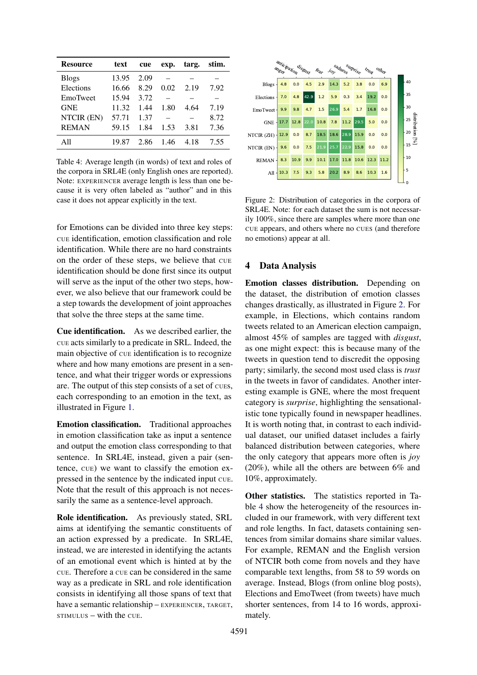<span id="page-5-1"></span>

| <b>Resource</b> | text  | cue  | exp. | targ. | stim. |
|-----------------|-------|------|------|-------|-------|
| <b>Blogs</b>    | 13.95 | 2.09 |      |       |       |
| Elections       | 16.66 | 8.29 | 0.02 | 2.19  | 7.92  |
| EmoTweet        | 15.94 | 3.72 |      |       |       |
| <b>GNE</b>      | 11.32 | 1.44 | 1.80 | 4.64  | 7.19  |
| NTCIR (EN)      | 57.71 | 1.37 |      |       | 8.72  |
| <b>REMAN</b>    | 59.15 | 1.84 | 1.53 | 3.81  | 7.36  |
| A 11            | 19.87 | 2.86 | 146  | 4.18  | 7.55  |

Table 4: Average length (in words) of text and roles of the corpora in SRL4E (only English ones are reported). Note: EXPERIENCER average length is less than one because it is very often labeled as "author" and in this case it does not appear explicitly in the text.

for Emotions can be divided into three key steps: CUE identification, emotion classification and role identification. While there are no hard constraints on the order of these steps, we believe that CUE identification should be done first since its output will serve as the input of the other two steps, however, we also believe that our framework could be a step towards the development of joint approaches that solve the three steps at the same time.

Cue identification. As we described earlier, the CUE acts similarly to a predicate in SRL. Indeed, the main objective of CUE identification is to recognize where and how many emotions are present in a sentence, and what their trigger words or expressions are. The output of this step consists of a set of cues, each corresponding to an emotion in the text, as illustrated in Figure [1.](#page-4-0)

Emotion classification. Traditional approaches in emotion classification take as input a sentence and output the emotion class corresponding to that sentence. In SRL4E, instead, given a pair (sentence, CUE) we want to classify the emotion expressed in the sentence by the indicated input CUE. Note that the result of this approach is not necessarily the same as a sentence-level approach.

Role identification. As previously stated, SRL aims at identifying the semantic constituents of an action expressed by a predicate. In SRL4E, instead, we are interested in identifying the actants of an emotional event which is hinted at by the CUE. Therefore a CUE can be considered in the same way as a predicate in SRL and role identification consists in identifying all those spans of text that have a semantic relationship – EXPERIENCER, TARGET,  $STIMULUS - with the CUE.$ 

<span id="page-5-0"></span>

Figure 2: Distribution of categories in the corpora of SRL4E. Note: for each dataset the sum is not necessarily 100%, since there are samples where more than one CUE appears, and others where no CUES (and therefore no emotions) appear at all.

# 4 Data Analysis

Emotion classes distribution. Depending on the dataset, the distribution of emotion classes changes drastically, as illustrated in Figure [2.](#page-5-0) For example, in Elections, which contains random tweets related to an American election campaign, almost 45% of samples are tagged with *disgust*, as one might expect: this is because many of the tweets in question tend to discredit the opposing party; similarly, the second most used class is *trust* in the tweets in favor of candidates. Another interesting example is GNE, where the most frequent category is *surprise*, highlighting the sensationalistic tone typically found in newspaper headlines. It is worth noting that, in contrast to each individual dataset, our unified dataset includes a fairly balanced distribution between categories, where the only category that appears more often is *joy* (20%), while all the others are between 6% and 10%, approximately.

Other statistics. The statistics reported in Table [4](#page-5-1) show the heterogeneity of the resources included in our framework, with very different text and role lengths. In fact, datasets containing sentences from similar domains share similar values. For example, REMAN and the English version of NTCIR both come from novels and they have comparable text lengths, from 58 to 59 words on average. Instead, Blogs (from online blog posts), Elections and EmoTweet (from tweets) have much shorter sentences, from 14 to 16 words, approximately.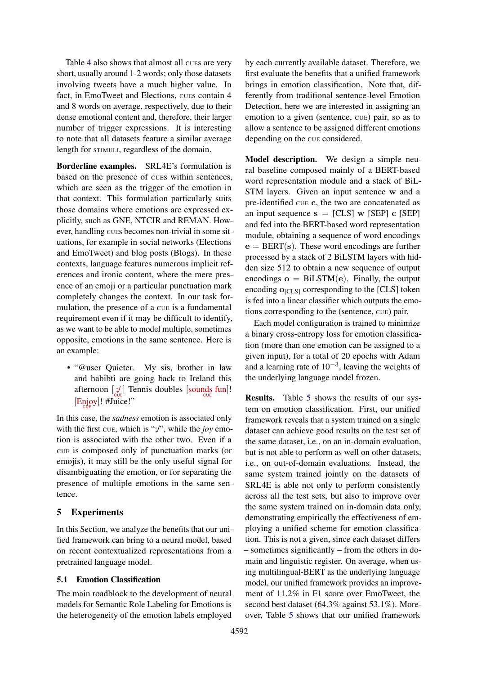Table [4](#page-5-1) also shows that almost all cues are very short, usually around 1-2 words; only those datasets involving tweets have a much higher value. In fact, in EmoTweet and Elections, cues contain 4 and 8 words on average, respectively, due to their dense emotional content and, therefore, their larger number of trigger expressions. It is interesting to note that all datasets feature a similar average length for STIMULI, regardless of the domain.

Borderline examples. SRL4E's formulation is based on the presence of CUEs within sentences, which are seen as the trigger of the emotion in that context. This formulation particularly suits those domains where emotions are expressed explicitly, such as GNE, NTCIR and REMAN. However, handling CUEs becomes non-trivial in some situations, for example in social networks (Elections and EmoTweet) and blog posts (Blogs). In these contexts, language features numerous implicit references and ironic content, where the mere presence of an emoji or a particular punctuation mark completely changes the context. In our task formulation, the presence of a CUE is a fundamental requirement even if it may be difficult to identify, as we want to be able to model multiple, sometimes opposite, emotions in the same sentence. Here is an example:

• "@user Quieter. My sis, brother in law and habibti are going back to Ireland this afternoon  $\left[\frac{1}{C} \right]$  Tennis doubles  $\left[\text{sounds} \atop \text{cuts} \right]$ !  $[\text{Empoy}]!$  #Juice!"

In this case, the *sadness* emotion is associated only with the first CUE, which is ";/", while the *joy* emotion is associated with the other two. Even if a CUE is composed only of punctuation marks (or emojis), it may still be the only useful signal for disambiguating the emotion, or for separating the presence of multiple emotions in the same sentence.

# 5 Experiments

In this Section, we analyze the benefits that our unified framework can bring to a neural model, based on recent contextualized representations from a pretrained language model.

# 5.1 Emotion Classification

The main roadblock to the development of neural models for Semantic Role Labeling for Emotions is the heterogeneity of the emotion labels employed by each currently available dataset. Therefore, we first evaluate the benefits that a unified framework brings in emotion classification. Note that, differently from traditional sentence-level Emotion Detection, here we are interested in assigning an emotion to a given (sentence, CUE) pair, so as to allow a sentence to be assigned different emotions depending on the CUE considered.

Model description. We design a simple neural baseline composed mainly of a BERT-based word representation module and a stack of BiL-STM layers. Given an input sentence w and a pre-identified CUE c, the two are concatenated as an input sequence  $s = [CLS] w [SEP] c [SEP]$ and fed into the BERT-based word representation module, obtaining a sequence of word encodings  $e = BERT(s)$ . These word encodings are further processed by a stack of 2 BiLSTM layers with hidden size 512 to obtain a new sequence of output encodings  $o = BiLSTM(e)$ . Finally, the output encoding  $o_{\text{ICLS1}}$  corresponding to the [CLS] token is fed into a linear classifier which outputs the emotions corresponding to the (sentence, CUE) pair.

Each model configuration is trained to minimize a binary cross-entropy loss for emotion classification (more than one emotion can be assigned to a given input), for a total of 20 epochs with Adam and a learning rate of  $10^{-3}$ , leaving the weights of the underlying language model frozen.

Results. Table [5](#page-7-0) shows the results of our system on emotion classification. First, our unified framework reveals that a system trained on a single dataset can achieve good results on the test set of the same dataset, i.e., on an in-domain evaluation, but is not able to perform as well on other datasets, i.e., on out-of-domain evaluations. Instead, the same system trained jointly on the datasets of SRL4E is able not only to perform consistently across all the test sets, but also to improve over the same system trained on in-domain data only, demonstrating empirically the effectiveness of employing a unified scheme for emotion classification. This is not a given, since each dataset differs – sometimes significantly – from the others in domain and linguistic register. On average, when using multilingual-BERT as the underlying language model, our unified framework provides an improvement of 11.2% in F1 score over EmoTweet, the second best dataset (64.3% against 53.1%). Moreover, Table [5](#page-7-0) shows that our unified framework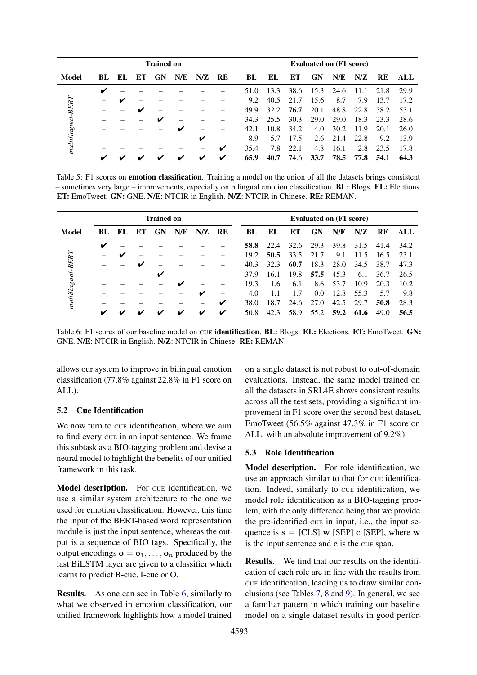<span id="page-7-0"></span>

|                     | <b>Trained on</b> |     |    |    |     |     |                          |      | <b>Evaluated on (F1 score)</b> |          |      |      |      |      |      |
|---------------------|-------------------|-----|----|----|-----|-----|--------------------------|------|--------------------------------|----------|------|------|------|------|------|
| Model               | BL.               | EL. | EТ | GN | N/E | N/Z | RE                       | BL   | EL.                            | EТ       | GN   | N/E  | N/Z  | RE   | ALL  |
|                     | v                 |     |    |    |     |     |                          | 51.0 | 13.3                           | 38.6     | 15.3 | 24.6 | 11.1 | 21.8 | 29.9 |
|                     |                   | ັ   |    |    |     |     |                          | 9.2  | 40.5                           | 21<br>.7 | 15.6 | 8.7  | 7.9  | 13.7 | 17.2 |
|                     |                   |     |    |    |     |     |                          | 49.9 | 32.2.                          | 76.7     | 20.1 | 48.8 | 22.8 | 38.2 | 53.1 |
| $multilingual-BERT$ |                   |     |    | ✔  |     |     |                          | 34.3 | 25.5                           | 30.3     | 29.0 | 29.0 | 18.3 | 23.3 | 28.6 |
|                     |                   |     |    |    | ✔   |     |                          | 42.1 | 10.8                           | 34.2     | 4.0  | 30.2 | 11.9 | 20.1 | 26.0 |
|                     |                   |     |    |    |     | V   | $\overline{\phantom{0}}$ | 8.9  | 5.7                            | 17.5     | 2.6  | 21.4 | 22.8 | 9.2  | 13.9 |
|                     |                   |     |    |    |     | -   | ✔                        | 35.4 | 7.8                            | 22.1     | 4.8  | 16.1 | 2.8  | 23.5 | 17.8 |
|                     | v                 |     |    |    | ້   | ✓   | V                        | 65.9 | 40.7                           | 74.6     | 33.7 | 78.5 | 77.8 | 54.1 | 64.3 |

Table 5: F1 scores on emotion classification. Training a model on the union of all the datasets brings consistent – sometimes very large – improvements, especially on bilingual emotion classification. BL: Blogs. EL: Elections. ET: EmoTweet. GN: GNE. N/E: NTCIR in English. N/Z: NTCIR in Chinese. RE: REMAN.

<span id="page-7-1"></span>

|                     | <b>Trained on</b> |     |    |    |     |     |    |      | <b>Evaluated on (F1 score)</b> |      |      |      |      |      |      |  |
|---------------------|-------------------|-----|----|----|-----|-----|----|------|--------------------------------|------|------|------|------|------|------|--|
| Model               | BL.               | EL. | ET | GN | N/E | N/Z | RE | BL   | EL.                            | EТ   | GN   | N/E  | N/Z  | RE   | ALL  |  |
|                     | V                 |     |    |    |     |     |    | 58.8 | 22.4                           | 32.6 | 29.3 | 39.8 | 31.5 | 41.4 | 34.2 |  |
|                     |                   |     |    |    |     |     |    | 19.2 | 50.5                           | 33.5 | 21.7 | 9.1  | 11.5 | 16.5 | 23.1 |  |
| $multilinguaI-BERT$ |                   |     |    |    |     |     |    | 40.3 | 32.3                           | 60.7 | 18.3 | 28.0 | 34.5 | 38.7 | 47.3 |  |
|                     |                   |     |    |    |     |     |    | 37.9 | 16.1                           | 19.8 | 57.5 | 45.3 | 6.1  | 36.7 | 26.5 |  |
|                     |                   |     |    |    | v   |     |    | 19.3 | 1.6                            | 6.1  | 8.6  | 53.7 | 10.9 | 20.3 | 10.2 |  |
|                     |                   |     |    |    |     | V   |    | 4.0  |                                | 1.7  | 0.0  | 12.8 | 55.3 | 5.7  | 9.8  |  |
|                     |                   |     |    |    |     |     | ✔  | 38.0 | 18.7                           | 24.6 | 27.0 | 42.5 | 29.7 | 50.8 | 28.3 |  |
|                     | v                 | ັ   |    |    | ັ   | ✔   | ✔  | 50.8 | 42.3                           | 58.9 | 55.2 | 59.2 | 61.6 | 49.0 | 56.5 |  |

Table 6: F1 scores of our baseline model on CUE identification. BL: Blogs. EL: Elections. ET: EmoTweet. GN: GNE. N/E: NTCIR in English. N/Z: NTCIR in Chinese. RE: REMAN.

allows our system to improve in bilingual emotion classification (77.8% against 22.8% in F1 score on ALL).

### 5.2 Cue Identification

We now turn to cue identification, where we aim to find every CUE in an input sentence. We frame this subtask as a BIO-tagging problem and devise a neural model to highlight the benefits of our unified framework in this task.

Model description. For cue identification, we use a similar system architecture to the one we used for emotion classification. However, this time the input of the BERT-based word representation module is just the input sentence, whereas the output is a sequence of BIO tags. Specifically, the output encodings  $\mathbf{o} = \mathbf{o}_1, \dots, \mathbf{o}_n$  produced by the last BiLSTM layer are given to a classifier which learns to predict B-cue, I-cue or O.

Results. As one can see in Table [6,](#page-7-1) similarly to what we observed in emotion classification, our unified framework highlights how a model trained on a single dataset is not robust to out-of-domain evaluations. Instead, the same model trained on all the datasets in SRL4E shows consistent results across all the test sets, providing a significant improvement in F1 score over the second best dataset, EmoTweet (56.5% against 47.3% in F1 score on ALL, with an absolute improvement of 9.2%).

### 5.3 Role Identification

Model description. For role identification, we use an approach similar to that for CUE identification. Indeed, similarly to CUE identification, we model role identification as a BIO-tagging problem, with the only difference being that we provide the pre-identified CUE in input, i.e., the input sequence is  $s = [CLS] w [SEP] c [SEP]$ , where w is the input sentence and c is the CUE span.

Results. We find that our results on the identification of each role are in line with the results from CUE identification, leading us to draw similar conclusions (see Tables [7,](#page-8-0) [8](#page-8-1) and [9\)](#page-8-2). In general, we see a familiar pattern in which training our baseline model on a single dataset results in good perfor-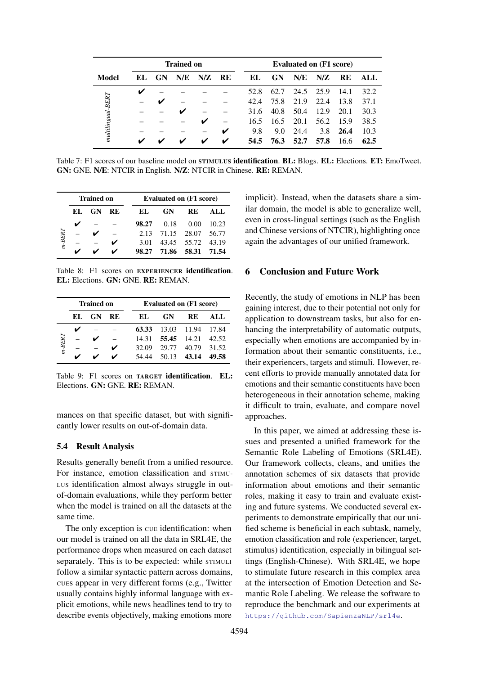<span id="page-8-0"></span>

|                   |     |           | <b>Trained on</b> |     |    | <b>Evaluated on (F1 score)</b> |      |           |      |           |      |  |  |
|-------------------|-----|-----------|-------------------|-----|----|--------------------------------|------|-----------|------|-----------|------|--|--|
| Model             | EL. | <b>GN</b> | N/E               | N/Z | RE | EL.                            | GN   | N/E       | N/Z  | <b>RE</b> | ALL  |  |  |
|                   | v   |           |                   |     |    | 52.8                           | 62.7 | 24.5 25.9 |      | 14.1      | 32.2 |  |  |
| $multipgrad-BERT$ |     | v         |                   |     |    | 42.4                           | 75.8 | 21.9      | 22.4 | 13.8      | 37.1 |  |  |
|                   |     |           | v                 |     |    | 31.6                           | 40.8 | 50.4      | 12.9 | 20.1      | 30.3 |  |  |
|                   |     |           |                   | v   |    | 16.5                           | 16.5 | 20.1      | 56.2 | 15.9      | 38.5 |  |  |
|                   |     |           |                   |     | V  | 9.8                            | 9.0  | 24.4      | 3.8  | 26.4      | 10.3 |  |  |
|                   | ✔   |           |                   | ✔   | V  | 54.5                           | 76.3 | 52.7      | 57.8 | 16.6      | 62.5 |  |  |

Table 7: F1 scores of our baseline model on STIMULUS **identification. BL:** Blogs. EL: Elections. ET: EmoTweet. GN: GNE. N/E: NTCIR in English. N/Z: NTCIR in Chinese. RE: REMAN.

<span id="page-8-1"></span>

|          |     | <b>Trained on</b> |     |       | <b>Evaluated on (F1 score)</b> |                   |       |  |  |  |  |  |  |
|----------|-----|-------------------|-----|-------|--------------------------------|-------------------|-------|--|--|--|--|--|--|
|          | EL. | <b>GN</b>         | RE. | EL.   | <b>GN</b>                      | <b>RE</b>         | ALL   |  |  |  |  |  |  |
|          |     |                   |     | 98.27 | 0.18                           | 0.00              | 10.23 |  |  |  |  |  |  |
| $m-BERT$ |     |                   |     |       | 2.13 71.15 28.07               |                   | 56.77 |  |  |  |  |  |  |
|          |     |                   |     | 3.01  |                                | 43.45 55.72 43.19 |       |  |  |  |  |  |  |
|          |     |                   |     |       | 98.27 71.86 58.31              |                   | 71.54 |  |  |  |  |  |  |

Table 8: F1 scores on EXPERIENCER identification. EL: Elections. GN: GNE. RE: REMAN.

<span id="page-8-2"></span>

|          |     | <b>Trained on</b> |    | <b>Evaluated on (F1 score)</b> |             |             |       |  |  |  |  |  |
|----------|-----|-------------------|----|--------------------------------|-------------|-------------|-------|--|--|--|--|--|
|          | EL. | <b>GN</b>         | RE | EL.                            | <b>GN</b>   | RE          | ALL.  |  |  |  |  |  |
|          |     |                   |    | 63.33                          |             | 13.03 11.94 | 17.84 |  |  |  |  |  |
|          |     |                   |    | 14.31                          | 55.45 14.21 |             | 42.52 |  |  |  |  |  |
| $m-BERT$ |     |                   |    | 32.09                          | 29.77       | 40.79       | 31.52 |  |  |  |  |  |
|          |     |                   |    | 54 44                          |             | 50.13 43.14 | 49.58 |  |  |  |  |  |

Table 9: F1 scores on TARGET identification. EL: Elections. GN: GNE. RE: REMAN.

mances on that specific dataset, but with significantly lower results on out-of-domain data.

#### 5.4 Result Analysis

Results generally benefit from a unified resource. For instance, emotion classification and STIMU-LUS identification almost always struggle in outof-domain evaluations, while they perform better when the model is trained on all the datasets at the same time.

The only exception is  $\overline{\text{c}}$  vertex identification: when our model is trained on all the data in SRL4E, the performance drops when measured on each dataset separately. This is to be expected: while STIMULI follow a similar syntactic pattern across domains, CUEs appear in very different forms (e.g., Twitter usually contains highly informal language with explicit emotions, while news headlines tend to try to describe events objectively, making emotions more

implicit). Instead, when the datasets share a similar domain, the model is able to generalize well, even in cross-lingual settings (such as the English and Chinese versions of NTCIR), highlighting once again the advantages of our unified framework.

## 6 Conclusion and Future Work

Recently, the study of emotions in NLP has been gaining interest, due to their potential not only for application to downstream tasks, but also for enhancing the interpretability of automatic outputs, especially when emotions are accompanied by information about their semantic constituents, i.e., their experiencers, targets and stimuli. However, recent efforts to provide manually annotated data for emotions and their semantic constituents have been heterogeneous in their annotation scheme, making it difficult to train, evaluate, and compare novel approaches.

In this paper, we aimed at addressing these issues and presented a unified framework for the Semantic Role Labeling of Emotions (SRL4E). Our framework collects, cleans, and unifies the annotation schemes of six datasets that provide information about emotions and their semantic roles, making it easy to train and evaluate existing and future systems. We conducted several experiments to demonstrate empirically that our unified scheme is beneficial in each subtask, namely, emotion classification and role (experiencer, target, stimulus) identification, especially in bilingual settings (English-Chinese). With SRL4E, we hope to stimulate future research in this complex area at the intersection of Emotion Detection and Semantic Role Labeling. We release the software to reproduce the benchmark and our experiments at <https://github.com/SapienzaNLP/srl4e>.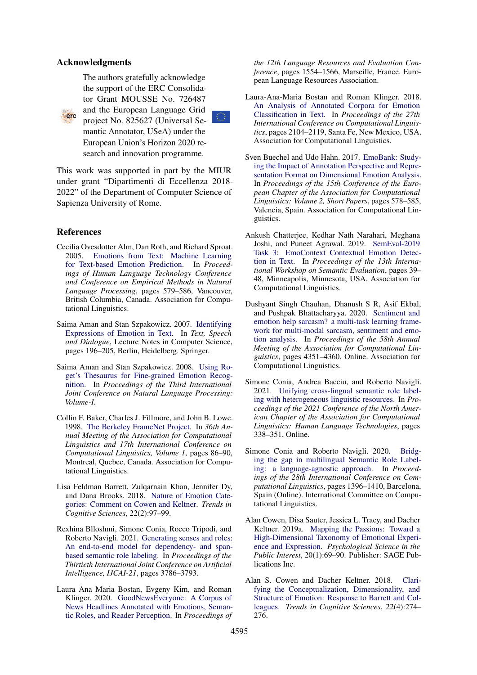#### Acknowledgments

The authors gratefully acknowledge the support of the ERC Consolidator Grant MOUSSE No. 726487



and the European Language Grid project No. 825627 (Universal Semantic Annotator, USeA) under the European Union's Horizon 2020 research and innovation programme.

This work was supported in part by the MIUR under grant "Dipartimenti di Eccellenza 2018- 2022" of the Department of Computer Science of Sapienza University of Rome.

# References

- <span id="page-9-3"></span>Cecilia Ovesdotter Alm, Dan Roth, and Richard Sproat. 2005. [Emotions from Text: Machine Learning](https://www.aclweb.org/anthology/H05-1073) [for Text-based Emotion Prediction.](https://www.aclweb.org/anthology/H05-1073) In *Proceedings of Human Language Technology Conference and Conference on Empirical Methods in Natural Language Processing*, pages 579–586, Vancouver, British Columbia, Canada. Association for Computational Linguistics.
- <span id="page-9-4"></span>Saima Aman and Stan Szpakowicz. 2007. [Identifying](https://doi.org/10.1007/978-3-540-74628-7_27) [Expressions of Emotion in Text.](https://doi.org/10.1007/978-3-540-74628-7_27) In *Text, Speech and Dialogue*, Lecture Notes in Computer Science, pages 196–205, Berlin, Heidelberg. Springer.
- <span id="page-9-5"></span>Saima Aman and Stan Szpakowicz. 2008. [Using Ro](https://www.aclweb.org/anthology/I08-1041)[get's Thesaurus for Fine-grained Emotion Recog](https://www.aclweb.org/anthology/I08-1041)[nition.](https://www.aclweb.org/anthology/I08-1041) In *Proceedings of the Third International Joint Conference on Natural Language Processing: Volume-I*.
- <span id="page-9-11"></span>Collin F. Baker, Charles J. Fillmore, and John B. Lowe. 1998. [The Berkeley FrameNet Project.](https://doi.org/10.3115/980845.980860) In *36th Annual Meeting of the Association for Computational Linguistics and 17th International Conference on Computational Linguistics, Volume 1*, pages 86–90, Montreal, Quebec, Canada. Association for Computational Linguistics.
- <span id="page-9-12"></span>Lisa Feldman Barrett, Zulqarnain Khan, Jennifer Dy, and Dana Brooks. 2018. [Nature of Emotion Cate](https://doi.org/10.1016/j.tics.2017.12.004)[gories: Comment on Cowen and Keltner.](https://doi.org/10.1016/j.tics.2017.12.004) *Trends in Cognitive Sciences*, 22(2):97–99.
- <span id="page-9-9"></span>Rexhina Blloshmi, Simone Conia, Rocco Tripodi, and Roberto Navigli. 2021. [Generating senses and roles:](https://doi.org/10.24963/ijcai.2021/521) [An end-to-end model for dependency- and span](https://doi.org/10.24963/ijcai.2021/521)[based semantic role labeling.](https://doi.org/10.24963/ijcai.2021/521) In *Proceedings of the Thirtieth International Joint Conference on Artificial Intelligence, IJCAI-21*, pages 3786–3793.
- <span id="page-9-7"></span>Laura Ana Maria Bostan, Evgeny Kim, and Roman Klinger. 2020. [GoodNewsEveryone: A Corpus of](https://www.aclweb.org/anthology/2020.lrec-1.194) [News Headlines Annotated with Emotions, Seman](https://www.aclweb.org/anthology/2020.lrec-1.194)[tic Roles, and Reader Perception.](https://www.aclweb.org/anthology/2020.lrec-1.194) In *Proceedings of*

*the 12th Language Resources and Evaluation Conference*, pages 1554–1566, Marseille, France. European Language Resources Association.

- <span id="page-9-2"></span>Laura-Ana-Maria Bostan and Roman Klinger. 2018. [An Analysis of Annotated Corpora for Emotion](https://www.aclweb.org/anthology/C18-1179) [Classification in Text.](https://www.aclweb.org/anthology/C18-1179) In *Proceedings of the 27th International Conference on Computational Linguistics*, pages 2104–2119, Santa Fe, New Mexico, USA. Association for Computational Linguistics.
- <span id="page-9-6"></span>Sven Buechel and Udo Hahn. 2017. [EmoBank: Study](https://www.aclweb.org/anthology/E17-2092)[ing the Impact of Annotation Perspective and Repre](https://www.aclweb.org/anthology/E17-2092)[sentation Format on Dimensional Emotion Analysis.](https://www.aclweb.org/anthology/E17-2092) In *Proceedings of the 15th Conference of the European Chapter of the Association for Computational Linguistics: Volume 2, Short Papers*, pages 578–585, Valencia, Spain. Association for Computational Linguistics.
- <span id="page-9-1"></span>Ankush Chatterjee, Kedhar Nath Narahari, Meghana Joshi, and Puneet Agrawal. 2019. [SemEval-2019](https://doi.org/10.18653/v1/S19-2005) [Task 3: EmoContext Contextual Emotion Detec](https://doi.org/10.18653/v1/S19-2005)[tion in Text.](https://doi.org/10.18653/v1/S19-2005) In *Proceedings of the 13th International Workshop on Semantic Evaluation*, pages 39– 48, Minneapolis, Minnesota, USA. Association for Computational Linguistics.
- <span id="page-9-0"></span>Dushyant Singh Chauhan, Dhanush S R, Asif Ekbal, and Pushpak Bhattacharyya. 2020. [Sentiment and](https://doi.org/10.18653/v1/2020.acl-main.401) [emotion help sarcasm? a multi-task learning frame](https://doi.org/10.18653/v1/2020.acl-main.401)[work for multi-modal sarcasm, sentiment and emo](https://doi.org/10.18653/v1/2020.acl-main.401)[tion analysis.](https://doi.org/10.18653/v1/2020.acl-main.401) In *Proceedings of the 58th Annual Meeting of the Association for Computational Linguistics*, pages 4351–4360, Online. Association for Computational Linguistics.
- <span id="page-9-10"></span>Simone Conia, Andrea Bacciu, and Roberto Navigli. 2021. [Unifying cross-lingual semantic role label](https://doi.org/10.18653/v1/2021.naacl-main.31)[ing with heterogeneous linguistic resources.](https://doi.org/10.18653/v1/2021.naacl-main.31) In *Proceedings of the 2021 Conference of the North American Chapter of the Association for Computational Linguistics: Human Language Technologies*, pages 338–351, Online.
- <span id="page-9-8"></span>Simone Conia and Roberto Navigli. 2020. [Bridg](https://doi.org/10.18653/v1/2020.coling-main.120)[ing the gap in multilingual Semantic Role Label](https://doi.org/10.18653/v1/2020.coling-main.120)[ing: a language-agnostic approach.](https://doi.org/10.18653/v1/2020.coling-main.120) In *Proceedings of the 28th International Conference on Computational Linguistics*, pages 1396–1410, Barcelona, Spain (Online). International Committee on Computational Linguistics.
- <span id="page-9-14"></span>Alan Cowen, Disa Sauter, Jessica L. Tracy, and Dacher Keltner. 2019a. [Mapping the Passions: Toward a](https://doi.org/10.1177/1529100619850176) [High-Dimensional Taxonomy of Emotional Experi](https://doi.org/10.1177/1529100619850176)[ence and Expression.](https://doi.org/10.1177/1529100619850176) *Psychological Science in the Public Interest*, 20(1):69–90. Publisher: SAGE Publications Inc.
- <span id="page-9-13"></span>Alan S. Cowen and Dacher Keltner. 2018. [Clari](https://doi.org/10.1016/j.tics.2018.02.003)[fying the Conceptualization, Dimensionality, and](https://doi.org/10.1016/j.tics.2018.02.003) [Structure of Emotion: Response to Barrett and Col](https://doi.org/10.1016/j.tics.2018.02.003)[leagues.](https://doi.org/10.1016/j.tics.2018.02.003) *Trends in Cognitive Sciences*, 22(4):274– 276.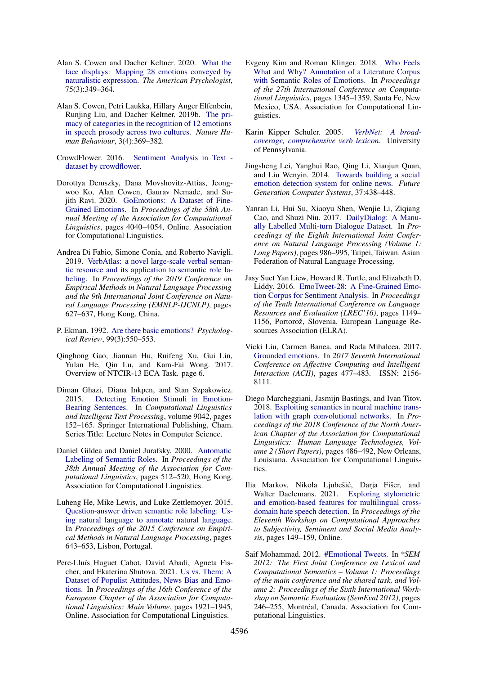- <span id="page-10-10"></span>Alan S. Cowen and Dacher Keltner. 2020. [What the](https://doi.org/10.1037/amp0000488) [face displays: Mapping 28 emotions conveyed by](https://doi.org/10.1037/amp0000488) [naturalistic expression.](https://doi.org/10.1037/amp0000488) *The American Psychologist*, 75(3):349–364.
- <span id="page-10-9"></span>Alan S. Cowen, Petri Laukka, Hillary Anger Elfenbein, Runjing Liu, and Dacher Keltner. 2019b. [The pri](https://doi.org/10.1038/s41562-019-0533-6)[macy of categories in the recognition of 12 emotions](https://doi.org/10.1038/s41562-019-0533-6) [in speech prosody across two cultures.](https://doi.org/10.1038/s41562-019-0533-6) *Nature Human Behaviour*, 3(4):369–382.
- <span id="page-10-5"></span>CrowdFlower. 2016. [Sentiment Analysis in Text](https://data.world/crowdflower/sentiment-analysis-in-text)  [dataset by crowdflower.](https://data.world/crowdflower/sentiment-analysis-in-text)
- <span id="page-10-7"></span>Dorottya Demszky, Dana Movshovitz-Attias, Jeongwoo Ko, Alan Cowen, Gaurav Nemade, and Sujith Ravi. 2020. [GoEmotions: A Dataset of Fine-](https://doi.org/10.18653/v1/2020.acl-main.372)[Grained Emotions.](https://doi.org/10.18653/v1/2020.acl-main.372) In *Proceedings of the 58th Annual Meeting of the Association for Computational Linguistics*, pages 4040–4054, Online. Association for Computational Linguistics.
- <span id="page-10-19"></span>Andrea Di Fabio, Simone Conia, and Roberto Navigli. 2019. [VerbAtlas: a novel large-scale verbal seman](https://doi.org/10.18653/v1/D19-1058)[tic resource and its application to semantic role la](https://doi.org/10.18653/v1/D19-1058)[beling.](https://doi.org/10.18653/v1/D19-1058) In *Proceedings of the 2019 Conference on Empirical Methods in Natural Language Processing and the 9th International Joint Conference on Natural Language Processing (EMNLP-IJCNLP)*, pages 627–637, Hong Kong, China.
- <span id="page-10-8"></span>P. Ekman. 1992. [Are there basic emotions?](https://doi.org/10.1037/0033-295x.99.3.550) *Psychological Review*, 99(3):550–553.
- <span id="page-10-16"></span>Qinghong Gao, Jiannan Hu, Ruifeng Xu, Gui Lin, Yulan He, Qin Lu, and Kam-Fai Wong. 2017. Overview of NTCIR-13 ECA Task. page 6.
- <span id="page-10-15"></span>Diman Ghazi, Diana Inkpen, and Stan Szpakowicz. 2015. [Detecting Emotion Stimuli in Emotion-](https://doi.org/10.1007/978-3-319-18117-2_12)[Bearing Sentences.](https://doi.org/10.1007/978-3-319-18117-2_12) In *Computational Linguistics and Intelligent Text Processing*, volume 9042, pages 152–165. Springer International Publishing, Cham. Series Title: Lecture Notes in Computer Science.
- <span id="page-10-17"></span>Daniel Gildea and Daniel Jurafsky. 2000. [Automatic](https://doi.org/10.3115/1075218.1075283) [Labeling of Semantic Roles.](https://doi.org/10.3115/1075218.1075283) In *Proceedings of the 38th Annual Meeting of the Association for Computational Linguistics*, pages 512–520, Hong Kong. Association for Computational Linguistics.
- <span id="page-10-12"></span>Luheng He, Mike Lewis, and Luke Zettlemoyer. 2015. [Question-answer driven semantic role labeling: Us](https://doi.org/10.18653/v1/D15-1076)[ing natural language to annotate natural language.](https://doi.org/10.18653/v1/D15-1076) In *Proceedings of the 2015 Conference on Empirical Methods in Natural Language Processing*, pages 643–653, Lisbon, Portugal.
- <span id="page-10-1"></span>Pere-Lluís Huguet Cabot, David Abadi, Agneta Fischer, and Ekaterina Shutova. 2021. [Us vs. Them: A](https://www.aclweb.org/anthology/2021.eacl-main.165) [Dataset of Populist Attitudes, News Bias and Emo](https://www.aclweb.org/anthology/2021.eacl-main.165)[tions.](https://www.aclweb.org/anthology/2021.eacl-main.165) In *Proceedings of the 16th Conference of the European Chapter of the Association for Computational Linguistics: Main Volume*, pages 1921–1945, Online. Association for Computational Linguistics.
- <span id="page-10-11"></span>Evgeny Kim and Roman Klinger. 2018. [Who Feels](https://www.aclweb.org/anthology/C18-1114) [What and Why? Annotation of a Literature Corpus](https://www.aclweb.org/anthology/C18-1114) [with Semantic Roles of Emotions.](https://www.aclweb.org/anthology/C18-1114) In *Proceedings of the 27th International Conference on Computational Linguistics*, pages 1345–1359, Santa Fe, New Mexico, USA. Association for Computational Linguistics.
- <span id="page-10-18"></span>Karin Kipper Schuler. 2005. *[VerbNet: A broad](http://verbs.colorado.edu/~kipper/Papers/dissertation.pdf)[coverage, comprehensive verb lexicon](http://verbs.colorado.edu/~kipper/Papers/dissertation.pdf)*. University of Pennsylvania.
- <span id="page-10-2"></span>Jingsheng Lei, Yanghui Rao, Qing Li, Xiaojun Quan, and Liu Wenyin. 2014. [Towards building a social](https://doi.org/10.1016/j.future.2013.09.024) [emotion detection system for online news.](https://doi.org/10.1016/j.future.2013.09.024) *Future Generation Computer Systems*, 37:438–448.
- <span id="page-10-3"></span>Yanran Li, Hui Su, Xiaoyu Shen, Wenjie Li, Ziqiang Cao, and Shuzi Niu. 2017. [DailyDialog: A Manu](https://www.aclweb.org/anthology/I17-1099)[ally Labelled Multi-turn Dialogue Dataset.](https://www.aclweb.org/anthology/I17-1099) In *Proceedings of the Eighth International Joint Conference on Natural Language Processing (Volume 1: Long Papers)*, pages 986–995, Taipei, Taiwan. Asian Federation of Natural Language Processing.
- <span id="page-10-14"></span>Jasy Suet Yan Liew, Howard R. Turtle, and Elizabeth D. Liddy. 2016. [EmoTweet-28: A Fine-Grained Emo](https://www.aclweb.org/anthology/L16-1183)[tion Corpus for Sentiment Analysis.](https://www.aclweb.org/anthology/L16-1183) In *Proceedings of the Tenth International Conference on Language Resources and Evaluation (LREC'16)*, pages 1149– 1156, Portorož, Slovenia. European Language Resources Association (ELRA).
- <span id="page-10-6"></span>Vicki Liu, Carmen Banea, and Rada Mihalcea. 2017. [Grounded emotions.](https://doi.org/10.1109/ACII.2017.8273642) In *2017 Seventh International Conference on Affective Computing and Intelligent Interaction (ACII)*, pages 477–483. ISSN: 2156- 8111.
- <span id="page-10-13"></span>Diego Marcheggiani, Jasmijn Bastings, and Ivan Titov. 2018. [Exploiting semantics in neural machine trans](https://doi.org/10.18653/v1/N18-2078)[lation with graph convolutional networks.](https://doi.org/10.18653/v1/N18-2078) In *Proceedings of the 2018 Conference of the North American Chapter of the Association for Computational Linguistics: Human Language Technologies, Volume 2 (Short Papers)*, pages 486–492, New Orleans, Louisiana. Association for Computational Linguistics.
- <span id="page-10-0"></span>Ilia Markov, Nikola Ljubešic, Darja Fišer, and ´ Walter Daelemans. 2021. [Exploring stylometric](https://aclanthology.org/2021.wassa-1.16) [and emotion-based features for multilingual cross](https://aclanthology.org/2021.wassa-1.16)[domain hate speech detection.](https://aclanthology.org/2021.wassa-1.16) In *Proceedings of the Eleventh Workshop on Computational Approaches to Subjectivity, Sentiment and Social Media Analysis*, pages 149–159, Online.
- <span id="page-10-4"></span>Saif Mohammad. 2012. [#Emotional Tweets.](https://www.aclweb.org/anthology/S12-1033) In *\*SEM 2012: The First Joint Conference on Lexical and Computational Semantics – Volume 1: Proceedings of the main conference and the shared task, and Volume 2: Proceedings of the Sixth International Workshop on Semantic Evaluation (SemEval 2012)*, pages 246–255, Montréal, Canada. Association for Computational Linguistics.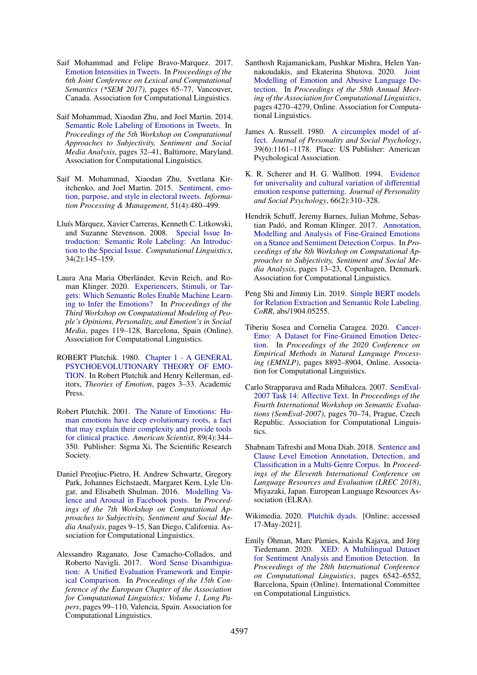- <span id="page-11-5"></span>Saif Mohammad and Felipe Bravo-Marquez. 2017. [Emotion Intensities in Tweets.](https://doi.org/10.18653/v1/S17-1007) In *Proceedings of the 6th Joint Conference on Lexical and Computational Semantics (\*SEM 2017)*, pages 65–77, Vancouver, Canada. Association for Computational Linguistics.
- <span id="page-11-13"></span>Saif Mohammad, Xiaodan Zhu, and Joel Martin. 2014. [Semantic Role Labeling of Emotions in Tweets.](https://doi.org/10.3115/v1/W14-2607) In *Proceedings of the 5th Workshop on Computational Approaches to Subjectivity, Sentiment and Social Media Analysis*, pages 32–41, Baltimore, Maryland. Association for Computational Linguistics.
- <span id="page-11-16"></span>Saif M. Mohammad, Xiaodan Zhu, Svetlana Kiritchenko, and Joel Martin. 2015. [Sentiment, emo](https://doi.org/10.1016/j.ipm.2014.09.003)[tion, purpose, and style in electoral tweets.](https://doi.org/10.1016/j.ipm.2014.09.003) *Information Processing & Management*, 51(4):480–499.
- <span id="page-11-15"></span>Lluís Màrquez, Xavier Carreras, Kenneth C. Litkowski, and Suzanne Stevenson. 2008. [Special Issue In](https://doi.org/10.1162/coli.2008.34.2.145)[troduction: Semantic Role Labeling: An Introduc](https://doi.org/10.1162/coli.2008.34.2.145)[tion to the Special Issue.](https://doi.org/10.1162/coli.2008.34.2.145) *Computational Linguistics*, 34(2):145–159.
- <span id="page-11-1"></span>Laura Ana Maria Oberländer, Kevin Reich, and Roman Klinger. 2020. [Experiencers, Stimuli, or Tar](https://www.aclweb.org/anthology/2020.peoples-1.12)[gets: Which Semantic Roles Enable Machine Learn](https://www.aclweb.org/anthology/2020.peoples-1.12)[ing to Infer the Emotions?](https://www.aclweb.org/anthology/2020.peoples-1.12) In *Proceedings of the Third Workshop on Computational Modeling of People's Opinions, Personality, and Emotion's in Social Media*, pages 119–128, Barcelona, Spain (Online). Association for Computational Linguistics.
- <span id="page-11-10"></span>ROBERT Plutchik. 1980. [Chapter 1 - A GENERAL](https://doi.org/10.1016/B978-0-12-558701-3.50007-7) [PSYCHOEVOLUTIONARY THEORY OF EMO-](https://doi.org/10.1016/B978-0-12-558701-3.50007-7)[TION.](https://doi.org/10.1016/B978-0-12-558701-3.50007-7) In Robert Plutchik and Henry Kellerman, editors, *Theories of Emotion*, pages 3–33. Academic Press.
- <span id="page-11-12"></span>Robert Plutchik. 2001. [The Nature of Emotions: Hu](https://www.jstor.org/stable/27857503)[man emotions have deep evolutionary roots, a fact](https://www.jstor.org/stable/27857503) [that may explain their complexity and provide tools](https://www.jstor.org/stable/27857503) [for clinical practice.](https://www.jstor.org/stable/27857503) *American Scientist*, 89(4):344– 350. Publisher: Sigma Xi, The Scientific Research Society.
- <span id="page-11-4"></span>Daniel Preoțiuc-Pietro, H. Andrew Schwartz, Gregory Park, Johannes Eichstaedt, Margaret Kern, Lyle Ungar, and Elisabeth Shulman. 2016. [Modelling Va](https://doi.org/10.18653/v1/W16-0404)[lence and Arousal in Facebook posts.](https://doi.org/10.18653/v1/W16-0404) In *Proceedings of the 7th Workshop on Computational Approaches to Subjectivity, Sentiment and Social Media Analysis*, pages 9–15, San Diego, California. Association for Computational Linguistics.
- <span id="page-11-17"></span>Alessandro Raganato, Jose Camacho-Collados, and Roberto Navigli. 2017. [Word Sense Disambigua](https://aclanthology.org/E17-1010)[tion: A Unified Evaluation Framework and Empir](https://aclanthology.org/E17-1010)[ical Comparison.](https://aclanthology.org/E17-1010) In *Proceedings of the 15th Conference of the European Chapter of the Association for Computational Linguistics: Volume 1, Long Papers*, pages 99–110, Valencia, Spain. Association for Computational Linguistics.
- <span id="page-11-0"></span>Santhosh Rajamanickam, Pushkar Mishra, Helen Yannakoudakis, and Ekaterina Shutova. 2020. [Joint](https://doi.org/10.18653/v1/2020.acl-main.394) [Modelling of Emotion and Abusive Language De](https://doi.org/10.18653/v1/2020.acl-main.394)[tection.](https://doi.org/10.18653/v1/2020.acl-main.394) In *Proceedings of the 58th Annual Meeting of the Association for Computational Linguistics*, pages 4270–4279, Online. Association for Computational Linguistics.
- <span id="page-11-11"></span>James A. Russell. 1980. [A circumplex model of af](https://doi.org/10.1037/h0077714)[fect.](https://doi.org/10.1037/h0077714) *Journal of Personality and Social Psychology*, 39(6):1161–1178. Place: US Publisher: American Psychological Association.
- <span id="page-11-2"></span>K. R. Scherer and H. G. Wallbott. 1994. [Evidence](https://doi.org/10.1037//0022-3514.66.2.310) [for universality and cultural variation of differential](https://doi.org/10.1037//0022-3514.66.2.310) [emotion response patterning.](https://doi.org/10.1037//0022-3514.66.2.310) *Journal of Personality and Social Psychology*, 66(2):310–328.
- <span id="page-11-6"></span>Hendrik Schuff, Jeremy Barnes, Julian Mohme, Sebastian Padó, and Roman Klinger. 2017. [Annotation,](https://doi.org/10.18653/v1/W17-5203) [Modelling and Analysis of Fine-Grained Emotions](https://doi.org/10.18653/v1/W17-5203) [on a Stance and Sentiment Detection Corpus.](https://doi.org/10.18653/v1/W17-5203) In *Proceedings of the 8th Workshop on Computational Approaches to Subjectivity, Sentiment and Social Media Analysis*, pages 13–23, Copenhagen, Denmark. Association for Computational Linguistics.
- <span id="page-11-14"></span>Peng Shi and Jimmy Lin. 2019. [Simple BERT models](http://arxiv.org/abs/1904.05255) [for Relation Extraction and Semantic Role Labeling.](http://arxiv.org/abs/1904.05255) *CoRR*, abs/1904.05255.
- <span id="page-11-9"></span>Tiberiu Sosea and Cornelia Caragea. 2020. [Cancer-](https://doi.org/10.18653/v1/2020.emnlp-main.715)[Emo: A Dataset for Fine-Grained Emotion Detec](https://doi.org/10.18653/v1/2020.emnlp-main.715)[tion.](https://doi.org/10.18653/v1/2020.emnlp-main.715) In *Proceedings of the 2020 Conference on Empirical Methods in Natural Language Processing (EMNLP)*, pages 8892–8904, Online. Association for Computational Linguistics.
- <span id="page-11-3"></span>Carlo Strapparava and Rada Mihalcea. 2007. [SemEval-](https://www.aclweb.org/anthology/S07-1013)[2007 Task 14: Affective Text.](https://www.aclweb.org/anthology/S07-1013) In *Proceedings of the Fourth International Workshop on Semantic Evaluations (SemEval-2007)*, pages 70–74, Prague, Czech Republic. Association for Computational Linguistics.
- <span id="page-11-7"></span>Shabnam Tafreshi and Mona Diab. 2018. [Sentence and](https://aclanthology.org/L18-1199) [Clause Level Emotion Annotation, Detection, and](https://aclanthology.org/L18-1199) [Classification in a Multi-Genre Corpus.](https://aclanthology.org/L18-1199) In *Proceedings of the Eleventh International Conference on Language Resources and Evaluation (LREC 2018)*, Miyazaki, Japan. European Language Resources Association (ELRA).
- <span id="page-11-18"></span>Wikimedia. 2020. [Plutchik dyads.](https://commons.wikimedia.org/w/index.php?title=File:Plutchik_Dyads.svg&oldid=483106491) [Online; accessed 17-May-2021].
- <span id="page-11-8"></span>Emily Öhman, Marc Pàmies, Kaisla Kajava, and Jörg Tiedemann. 2020. [XED: A Multilingual Dataset](https://doi.org/10.18653/v1/2020.coling-main.575) [for Sentiment Analysis and Emotion Detection.](https://doi.org/10.18653/v1/2020.coling-main.575) In *Proceedings of the 28th International Conference on Computational Linguistics*, pages 6542–6552, Barcelona, Spain (Online). International Committee on Computational Linguistics.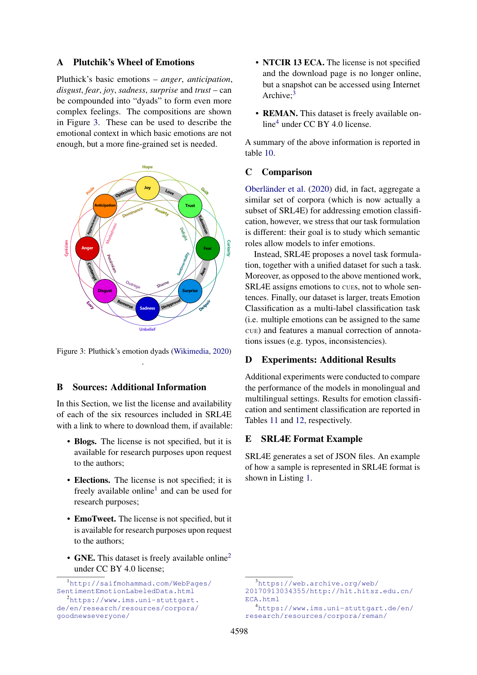# <span id="page-12-0"></span>A Plutchik's Wheel of Emotions

Pluthick's basic emotions – *anger*, *anticipation*, *disgust*, *fear*, *joy*, *sadness*, *surprise* and *trust* – can be compounded into "dyads" to form even more complex feelings. The compositions are shown in Figure [3.](#page-12-2) These can be used to describe the emotional context in which basic emotions are not enough, but a more fine-grained set is needed.

<span id="page-12-2"></span>

Figure 3: Pluthick's emotion dyads [\(Wikimedia,](#page-11-18) [2020\)](#page-11-18) .

# <span id="page-12-1"></span>B Sources: Additional Information

In this Section, we list the license and availability of each of the six resources included in SRL4E with a link to where to download them, if available:

- Blogs. The license is not specified, but it is available for research purposes upon request to the authors;
- Elections. The license is not specified; it is freely available online<sup>[1](#page-12-3)</sup> and can be used for research purposes;
- EmoTweet. The license is not specified, but it is available for research purposes upon request to the authors;
- GNE. This dataset is freely available online<sup>[2](#page-12-4)</sup> under CC BY 4.0 license;
- NTCIR 13 ECA. The license is not specified and the download page is no longer online, but a snapshot can be accessed using Internet Archive:<sup>[3](#page-12-5)</sup>
- REMAN. This dataset is freely available online[4](#page-12-6) under CC BY 4.0 license.

A summary of the above information is reported in table [10.](#page-13-0)

# C Comparison

[Oberländer et al.](#page-11-1) [\(2020\)](#page-11-1) did, in fact, aggregate a similar set of corpora (which is now actually a subset of SRL4E) for addressing emotion classification, however, we stress that our task formulation is different: their goal is to study which semantic roles allow models to infer emotions.

Instead, SRL4E proposes a novel task formulation, together with a unified dataset for such a task. Moreover, as opposed to the above mentioned work, SRL4E assigns emotions to CUEs, not to whole sentences. Finally, our dataset is larger, treats Emotion Classification as a multi-label classification task (i.e. multiple emotions can be assigned to the same CUE) and features a manual correction of annotations issues (e.g. typos, inconsistencies).

### D Experiments: Additional Results

Additional experiments were conducted to compare the performance of the models in monolingual and multilingual settings. Results for emotion classification and sentiment classification are reported in Tables [11](#page-13-1) and [12,](#page-14-0) respectively.

# E SRL4E Format Example

SRL4E generates a set of JSON files. An example of how a sample is represented in SRL4E format is shown in Listing [1.](#page-15-0)

<span id="page-12-3"></span><sup>1</sup>[http://saifmohammad.com/WebPages/](http://saifmohammad.com/WebPages/SentimentEmotionLabeledData.html) [SentimentEmotionLabeledData.html](http://saifmohammad.com/WebPages/SentimentEmotionLabeledData.html)

<span id="page-12-4"></span><sup>2</sup>[https://www.ims.uni-stuttgart.](https://www.ims.uni-stuttgart.de/en/research/resources/corpora/goodnewseveryone/) [de/en/research/resources/corpora/](https://www.ims.uni-stuttgart.de/en/research/resources/corpora/goodnewseveryone/) [goodnewseveryone/](https://www.ims.uni-stuttgart.de/en/research/resources/corpora/goodnewseveryone/)

<span id="page-12-5"></span><sup>3</sup>[https://web.archive.org/web/](https://web.archive.org/web/20170913034355/http://hlt.hitsz.edu.cn/ECA.html) [20170913034355/http://hlt.hitsz.edu.cn/](https://web.archive.org/web/20170913034355/http://hlt.hitsz.edu.cn/ECA.html) [ECA.html](https://web.archive.org/web/20170913034355/http://hlt.hitsz.edu.cn/ECA.html)

<span id="page-12-6"></span><sup>4</sup>[https://www.ims.uni-stuttgart.de/en/](https://www.ims.uni-stuttgart.de/en/research/resources/corpora/reman/) [research/resources/corpora/reman/](https://www.ims.uni-stuttgart.de/en/research/resources/corpora/reman/)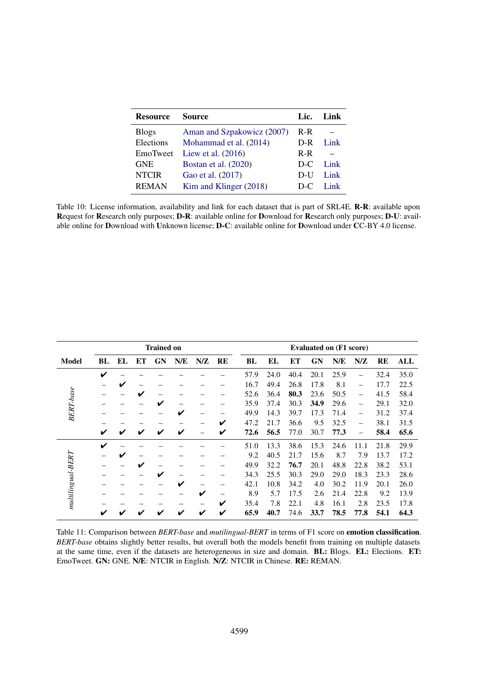<span id="page-13-0"></span>

| <b>Resource</b> | <b>Source</b>              | Lic.  | Link |
|-----------------|----------------------------|-------|------|
| <b>Blogs</b>    | Aman and Szpakowicz (2007) | $R-R$ |      |
| Elections       | Mohammad et al. (2014)     | $D-R$ | Link |
| EmoTweet        | Liew et al. $(2016)$       | $R-R$ |      |
| <b>GNE</b>      | Bostan et al. (2020)       | $D-C$ | Link |
| <b>NTCIR</b>    | Gao et al. (2017)          | D-U   | Link |
| <b>REMAN</b>    | Kim and Klinger (2018)     | D-C   | Link |

Table 10: License information, availability and link for each dataset that is part of SRL4E. **R-R**: available upon Request for Research only purposes; D-R: available online for Download for Research only purposes; D-U: available online for Download with Unknown license; D-C: available online for Download under CC-BY 4.0 license.

<span id="page-13-1"></span>

|                    |    |    |    | <b>Trained on</b> |     |     |           |      | <b>Evaluated on (F1 score)</b> |      |           |      |                          |           |      |  |
|--------------------|----|----|----|-------------------|-----|-----|-----------|------|--------------------------------|------|-----------|------|--------------------------|-----------|------|--|
| <b>Model</b>       | BL | EL | ЕT | <b>GN</b>         | N/E | N/Z | <b>RE</b> | BL   | EL                             | EТ   | <b>GN</b> | N/E  | N/Z                      | <b>RE</b> | ALL  |  |
|                    | V  |    |    |                   |     |     |           | 57.9 | 24.0                           | 40.4 | 20.1      | 25.9 |                          | 32.4      | 35.0 |  |
|                    |    | ✔  |    |                   |     |     |           | 16.7 | 49.4                           | 26.8 | 17.8      | 8.1  | -                        | 17.7      | 22.5 |  |
| <b>BERT-base</b>   |    |    | v  |                   |     |     |           | 52.6 | 36.4                           | 80.3 | 23.6      | 50.5 | $\overline{\phantom{0}}$ | 41.5      | 58.4 |  |
|                    |    |    |    | V                 |     |     |           | 35.9 | 37.4                           | 30.3 | 34.9      | 29.6 | $\overline{\phantom{0}}$ | 29.1      | 32.0 |  |
|                    |    |    |    |                   | V   |     |           | 49.9 | 14.3                           | 39.7 | 17.3      | 71.4 | $\overline{\phantom{0}}$ | 31.2      | 37.4 |  |
|                    |    |    |    |                   |     |     | ✔         | 47.2 | 21.7                           | 36.6 | 9.5       | 32.5 | -                        | 38.1      | 31.5 |  |
|                    | V  | ✔  | v  | ✔                 | ✔   |     | V         | 72.6 | 56.5                           | 77.0 | 30.7      | 77.3 |                          | 58.4      | 65.6 |  |
|                    | V  |    |    |                   |     |     |           | 51.0 | 13.3                           | 38.6 | 15.3      | 24.6 | 11.1                     | 21.8      | 29.9 |  |
|                    |    | ✔  |    |                   |     |     |           | 9.2  | 40.5                           | 21.7 | 15.6      | 8.7  | 7.9                      | 13.7      | 17.2 |  |
|                    |    |    | ✔  |                   |     |     |           | 49.9 | 32.2                           | 76.7 | 20.1      | 48.8 | 22.8                     | 38.2      | 53.1 |  |
|                    |    |    |    | ✔                 |     |     |           | 34.3 | 25.5                           | 30.3 | 29.0      | 29.0 | 18.3                     | 23.3      | 28.6 |  |
|                    |    |    |    |                   | V   | —   |           | 42.1 | 10.8                           | 34.2 | 4.0       | 30.2 | 11.9                     | 20.1      | 26.0 |  |
|                    |    |    |    |                   |     | ✔   | —         | 8.9  | 5.7                            | 17.5 | 2.6       | 21.4 | 22.8                     | 9.2       | 13.9 |  |
| $multipquad$ -BERT |    |    |    |                   |     |     | V         | 35.4 | 7.8                            | 22.1 | 4.8       | 16.1 | 2.8                      | 23.5      | 17.8 |  |
|                    | ✔  |    |    |                   | V   | ✔   | ✔         | 65.9 | 40.7                           | 74.6 | 33.7      | 78.5 | 77.8                     | 54.1      | 64.3 |  |

Table 11: Comparison between *BERT-base* and *mutilingual-BERT* in terms of F1 score on emotion classification. *BERT-base* obtains slightly better results, but overall both the models benefit from training on multiple datasets at the same time, even if the datasets are heterogeneous in size and domain. BL: Blogs. EL: Elections. ET: EmoTweet. GN: GNE. N/E: NTCIR in English. N/Z: NTCIR in Chinese. RE: REMAN.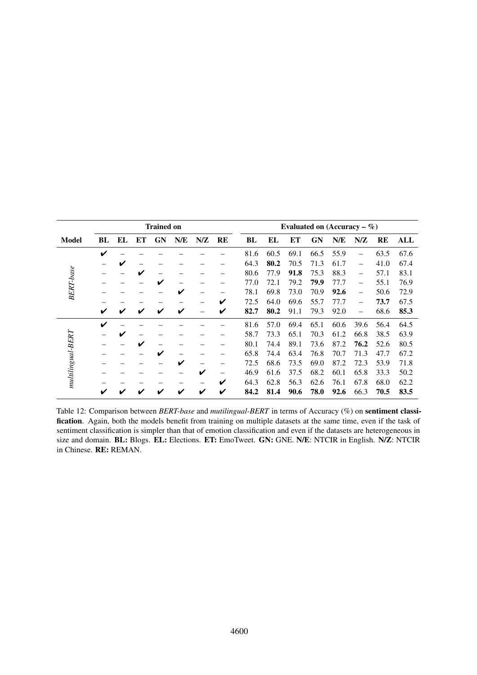<span id="page-14-0"></span>

|                          |    |    |    | <b>Trained on</b> |     |     |                          | Evaluated on $(Accuracy - %)$ |      |      |           |      |                          |      |      |  |
|--------------------------|----|----|----|-------------------|-----|-----|--------------------------|-------------------------------|------|------|-----------|------|--------------------------|------|------|--|
| <b>Model</b>             | BL | EL | ET | <b>GN</b>         | N/E | N/Z | <b>RE</b>                | <b>BL</b>                     | EL   | ET   | <b>GN</b> | N/E  | N/Z                      | RE   | ALL  |  |
|                          | V  |    |    |                   |     |     |                          | 81.6                          | 60.5 | 69.1 | 66.5      | 55.9 | $\overline{\phantom{0}}$ | 63.5 | 67.6 |  |
|                          |    | ✔  |    |                   |     |     | —                        | 64.3                          | 80.2 | 70.5 | 71.3      | 61.7 | $\overline{\phantom{0}}$ | 41.0 | 67.4 |  |
| <b>BERT-base</b>         |    |    | V  |                   |     |     |                          | 80.6                          | 77.9 | 91.8 | 75.3      | 88.3 | $\overline{\phantom{0}}$ | 57.1 | 83.1 |  |
|                          |    |    |    | ✔                 |     |     | —                        | 77.0                          | 72.1 | 79.2 | 79.9      | 77.7 |                          | 55.1 | 76.9 |  |
|                          |    |    |    |                   | ✔   |     |                          | 78.1                          | 69.8 | 73.0 | 70.9      | 92.6 | $\overline{\phantom{0}}$ | 50.6 | 72.9 |  |
|                          |    |    |    |                   |     |     | V                        | 72.5                          | 64.0 | 69.6 | 55.7      | 77.7 | $\overline{\phantom{0}}$ | 73.7 | 67.5 |  |
|                          | V  | ✔  | ✔  | ✔                 | ✔   |     | V                        | 82.7                          | 80.2 | 91.1 | 79.3      | 92.0 | $\overline{\phantom{0}}$ | 68.6 | 85.3 |  |
|                          | V  |    |    |                   |     |     |                          | 81.6                          | 57.0 | 69.4 | 65.1      | 60.6 | 39.6                     | 56.4 | 64.5 |  |
|                          |    | V  |    |                   |     |     |                          | 58.7                          | 73.3 | 65.1 | 70.3      | 61.2 | 66.8                     | 38.5 | 63.9 |  |
|                          |    |    | V  |                   |     |     | —                        | 80.1                          | 74.4 | 89.1 | 73.6      | 87.2 | 76.2                     | 52.6 | 80.5 |  |
|                          |    |    |    | ✔                 |     |     | -                        | 65.8                          | 74.4 | 63.4 | 76.8      | 70.7 | 71.3                     | 47.7 | 67.2 |  |
|                          |    |    |    |                   | V   | -   | —                        | 72.5                          | 68.6 | 73.5 | 69.0      | 87.2 | 72.3                     | 53.9 | 71.8 |  |
|                          |    |    |    |                   |     | V   | $\overline{\phantom{0}}$ | 46.9                          | 61.6 | 37.5 | 68.2      | 60.1 | 65.8                     | 33.3 | 50.2 |  |
| $multipgrad\text{-}BERT$ |    |    |    |                   |     |     | V                        | 64.3                          | 62.8 | 56.3 | 62.6      | 76.1 | 67.8                     | 68.0 | 62.2 |  |
|                          |    |    |    |                   |     | V   | V                        | 84.2                          | 81.4 | 90.6 | 78.0      | 92.6 | 66.3                     | 70.5 | 83.5 |  |

Table 12: Comparison between *BERT-base* and *mutilingual-BERT* in terms of Accuracy (%) on sentiment classification. Again, both the models benefit from training on multiple datasets at the same time, even if the task of sentiment classification is simpler than that of emotion classification and even if the datasets are heterogeneous in size and domain. BL: Blogs. EL: Elections. ET: EmoTweet. GN: GNE. N/E: NTCIR in English. N/Z: NTCIR in Chinese. RE: REMAN.